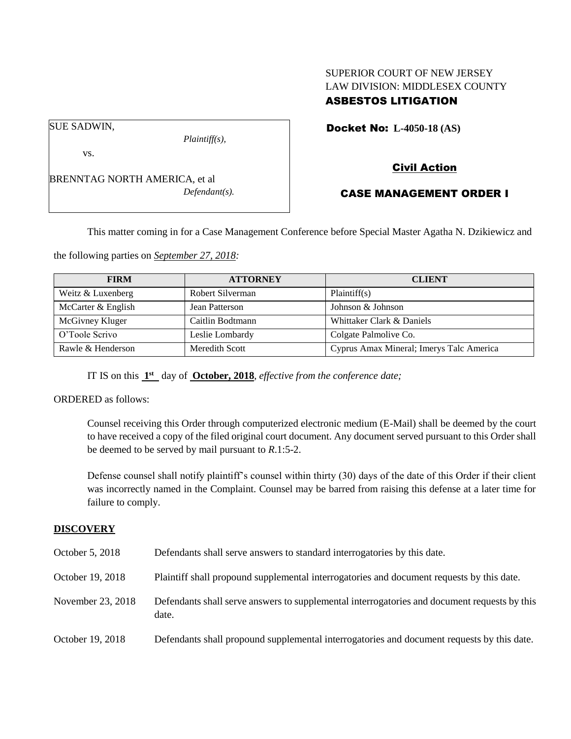## SUPERIOR COURT OF NEW JERSEY LAW DIVISION: MIDDLESEX COUNTY ASBESTOS LITIGATION

SUE SADWIN,

vs.

BRENNTAG NORTH AMERICA, et al *Defendant(s).*

*Plaintiff(s),*

Docket No: **L-4050-18 (AS)** 

# Civil Action

## CASE MANAGEMENT ORDER I

This matter coming in for a Case Management Conference before Special Master Agatha N. Dzikiewicz and

the following parties on *September 27, 2018:*

| <b>FIRM</b>        | <b>ATTORNEY</b>  | <b>CLIENT</b>                            |
|--------------------|------------------|------------------------------------------|
| Weitz & Luxenberg  | Robert Silverman | Plaintiff(s)                             |
| McCarter & English | Jean Patterson   | Johnson & Johnson                        |
| McGivney Kluger    | Caitlin Bodtmann | Whittaker Clark & Daniels                |
| O'Toole Scrivo     | Leslie Lombardy  | Colgate Palmolive Co.                    |
| Rawle & Henderson  | Meredith Scott   | Cyprus Amax Mineral; Imerys Talc America |

IT IS on this  $1<sup>st</sup>$  day of **October, 2018**, *effective from the conference date*;

ORDERED as follows:

Counsel receiving this Order through computerized electronic medium (E-Mail) shall be deemed by the court to have received a copy of the filed original court document. Any document served pursuant to this Order shall be deemed to be served by mail pursuant to *R*.1:5-2.

Defense counsel shall notify plaintiff's counsel within thirty (30) days of the date of this Order if their client was incorrectly named in the Complaint. Counsel may be barred from raising this defense at a later time for failure to comply.

#### **DISCOVERY**

| October 5, 2018   | Defendants shall serve answers to standard interrogatories by this date.                              |
|-------------------|-------------------------------------------------------------------------------------------------------|
| October 19, 2018  | Plaintiff shall propound supplemental interrogatories and document requests by this date.             |
| November 23, 2018 | Defendants shall serve answers to supplemental interrogatories and document requests by this<br>date. |
| October 19, 2018  | Defendants shall propound supplemental interrogatories and document requests by this date.            |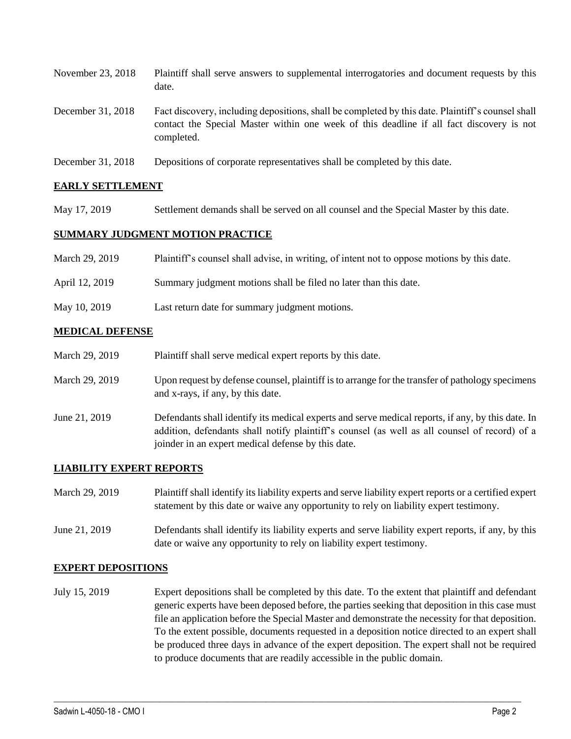| November 23, 2018 | Plaintiff shall serve answers to supplemental interrogatories and document requests by this<br>date.                                                                                                        |
|-------------------|-------------------------------------------------------------------------------------------------------------------------------------------------------------------------------------------------------------|
| December 31, 2018 | Fact discovery, including depositions, shall be completed by this date. Plaintiff's counsel shall<br>contact the Special Master within one week of this deadline if all fact discovery is not<br>completed. |
| December 31, 2018 | Depositions of corporate representatives shall be completed by this date.                                                                                                                                   |

#### **EARLY SETTLEMENT**

May 17, 2019 Settlement demands shall be served on all counsel and the Special Master by this date.

#### **SUMMARY JUDGMENT MOTION PRACTICE**

| March 29, 2019 | Plaintiff's counsel shall advise, in writing, of intent not to oppose motions by this date. |
|----------------|---------------------------------------------------------------------------------------------|
| April 12, 2019 | Summary judgment motions shall be filed no later than this date.                            |
| May 10, 2019   | Last return date for summary judgment motions.                                              |

#### **MEDICAL DEFENSE**

| March 29, 2019 | Plaintiff shall serve medical expert reports by this date.                                                                                                                                                                                               |
|----------------|----------------------------------------------------------------------------------------------------------------------------------------------------------------------------------------------------------------------------------------------------------|
| March 29, 2019 | Upon request by defense counsel, plaintiff is to arrange for the transfer of pathology specimens<br>and x-rays, if any, by this date.                                                                                                                    |
| June 21, 2019  | Defendants shall identify its medical experts and serve medical reports, if any, by this date. In<br>addition, defendants shall notify plaintiff's counsel (as well as all counsel of record) of a<br>joinder in an expert medical defense by this date. |

#### **LIABILITY EXPERT REPORTS**

| March 29, 2019 | Plaintiff shall identify its liability experts and serve liability expert reports or a certified expert<br>statement by this date or waive any opportunity to rely on liability expert testimony. |
|----------------|---------------------------------------------------------------------------------------------------------------------------------------------------------------------------------------------------|
| June 21, 2019  | Defendants shall identify its liability experts and serve liability expert reports, if any, by this<br>date or waive any opportunity to rely on liability expert testimony.                       |

#### **EXPERT DEPOSITIONS**

July 15, 2019 Expert depositions shall be completed by this date. To the extent that plaintiff and defendant generic experts have been deposed before, the parties seeking that deposition in this case must file an application before the Special Master and demonstrate the necessity for that deposition. To the extent possible, documents requested in a deposition notice directed to an expert shall be produced three days in advance of the expert deposition. The expert shall not be required to produce documents that are readily accessible in the public domain.

 $\_$  ,  $\_$  ,  $\_$  ,  $\_$  ,  $\_$  ,  $\_$  ,  $\_$  ,  $\_$  ,  $\_$  ,  $\_$  ,  $\_$  ,  $\_$  ,  $\_$  ,  $\_$  ,  $\_$  ,  $\_$  ,  $\_$  ,  $\_$  ,  $\_$  ,  $\_$  ,  $\_$  ,  $\_$  ,  $\_$  ,  $\_$  ,  $\_$  ,  $\_$  ,  $\_$  ,  $\_$  ,  $\_$  ,  $\_$  ,  $\_$  ,  $\_$  ,  $\_$  ,  $\_$  ,  $\_$  ,  $\_$  ,  $\_$  ,